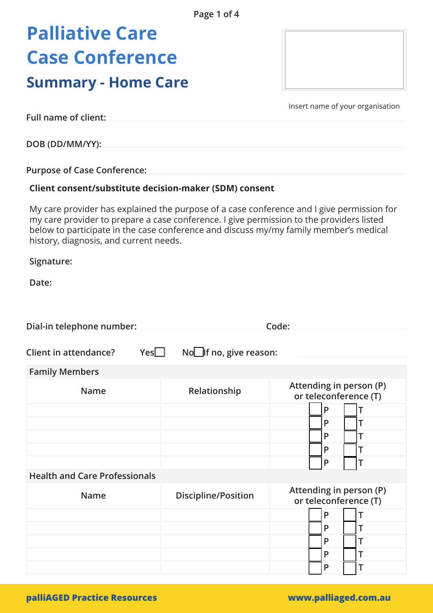# **Palliative Care Case Conference**

### **Summary - Home Care**

Insert name of your organisation

**Full name of client:**

**DOB (DD/MM/YY):**

**Purpose of Case Conference:** 

#### **Client consent/substitute decision-maker (SDM) consent**

My care provider has explained the purpose of a case conference and I give permission for my care provider to prepare a case conference. I give permission to the providers listed below to participate in the case conference and discuss my/my family member's medical history, diagnosis, and current needs.

**Signature:** 

Date:

| Dial-in telephone number:            | Code:                         |                                                  |
|--------------------------------------|-------------------------------|--------------------------------------------------|
| Yes<br>Client in attendance?         | No <b>lf</b> no, give reason: |                                                  |
| <b>Family Members</b>                |                               |                                                  |
| <b>Name</b>                          | Relationship                  | Attending in person (P)<br>or teleconference (T) |
|                                      |                               | P                                                |
|                                      |                               | P<br>т                                           |
|                                      |                               | P<br>T                                           |
|                                      |                               | P<br>T                                           |
|                                      |                               | P<br>Τ                                           |
| <b>Health and Care Professionals</b> |                               |                                                  |
| <b>Name</b>                          | <b>Discipline/Position</b>    | Attending in person (P)<br>or teleconference (T) |
|                                      |                               | P<br>Т                                           |
|                                      |                               | P<br>T                                           |
|                                      |                               | P<br>T                                           |
|                                      |                               | P<br>T                                           |
|                                      |                               | P<br>Τ                                           |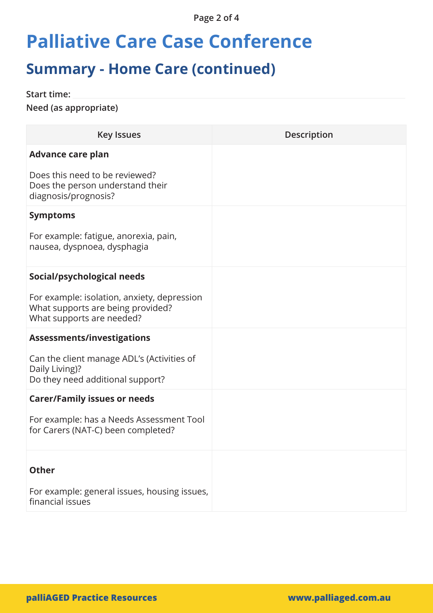**Page 2 of 4**

## **Palliative Care Case Conference**

### **Summary - Home Care (continued)**

**Start time:**

**Need (as appropriate)** 

| <b>Key Issues</b>                                                                                             | <b>Description</b> |
|---------------------------------------------------------------------------------------------------------------|--------------------|
| <b>Advance care plan</b>                                                                                      |                    |
| Does this need to be reviewed?<br>Does the person understand their<br>diagnosis/prognosis?                    |                    |
| <b>Symptoms</b>                                                                                               |                    |
| For example: fatigue, anorexia, pain,<br>nausea, dyspnoea, dysphagia                                          |                    |
| Social/psychological needs                                                                                    |                    |
| For example: isolation, anxiety, depression<br>What supports are being provided?<br>What supports are needed? |                    |
| <b>Assessments/investigations</b>                                                                             |                    |
| Can the client manage ADL's (Activities of<br>Daily Living)?<br>Do they need additional support?              |                    |
| <b>Carer/Family issues or needs</b>                                                                           |                    |
| For example: has a Needs Assessment Tool<br>for Carers (NAT-C) been completed?                                |                    |
| <b>Other</b>                                                                                                  |                    |
|                                                                                                               |                    |
| For example: general issues, housing issues,<br>financial issues                                              |                    |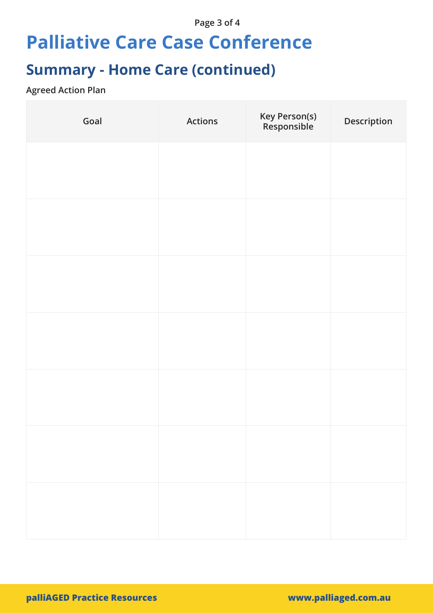### **Page 3 of 4**

## **Palliative Care Case Conference**

## **Summary - Home Care (continued)**

### **Agreed Action Plan**

| Goal | <b>Actions</b> | Key Person(s)<br>Responsible | Description |
|------|----------------|------------------------------|-------------|
|      |                |                              |             |
|      |                |                              |             |
|      |                |                              |             |
|      |                |                              |             |
|      |                |                              |             |
|      |                |                              |             |
|      |                |                              |             |
|      |                |                              |             |